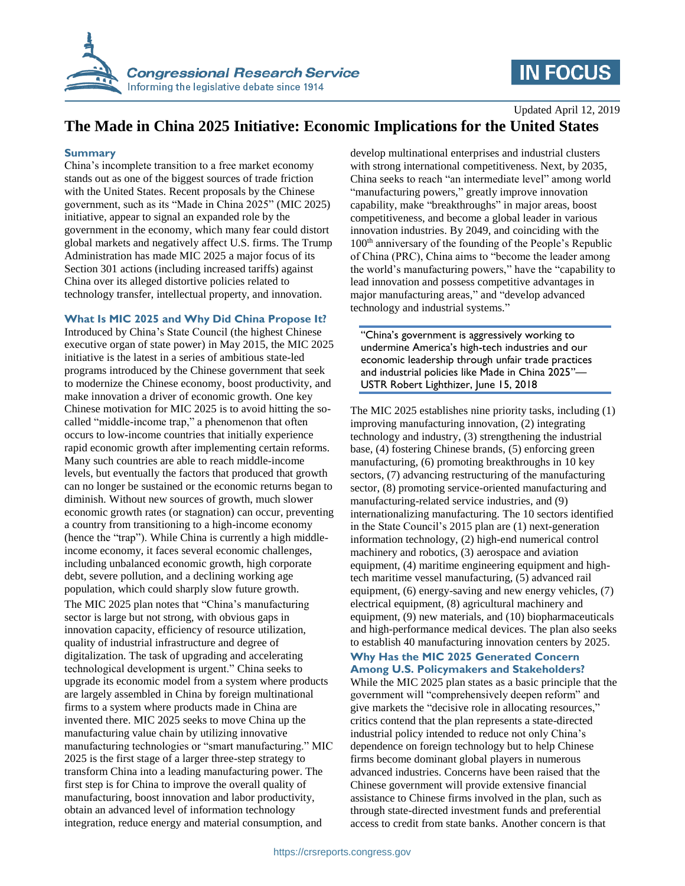

# **IN FOCUS**

Updated April 12, 2019

## **The Made in China 2025 Initiative: Economic Implications for the United States**

#### **Summary**

China's incomplete transition to a free market economy stands out as one of the biggest sources of trade friction with the United States. Recent proposals by the Chinese government, such as its "Made in China 2025" (MIC 2025) initiative, appear to signal an expanded role by the government in the economy, which many fear could distort global markets and negatively affect U.S. firms. The Trump Administration has made MIC 2025 a major focus of its Section 301 actions (including increased tariffs) against China over its alleged distortive policies related to technology transfer, intellectual property, and innovation.

#### **What Is MIC 2025 and Why Did China Propose It?**

Introduced by China's State Council (the highest Chinese executive organ of state power) in May 2015, the MIC 2025 initiative is the latest in a series of ambitious state-led programs introduced by the Chinese government that seek to modernize the Chinese economy, boost productivity, and make innovation a driver of economic growth. One key Chinese motivation for MIC 2025 is to avoid hitting the socalled "middle-income trap," a phenomenon that often occurs to low-income countries that initially experience rapid economic growth after implementing certain reforms. Many such countries are able to reach middle-income levels, but eventually the factors that produced that growth can no longer be sustained or the economic returns began to diminish. Without new sources of growth, much slower economic growth rates (or stagnation) can occur, preventing a country from transitioning to a high-income economy (hence the "trap"). While China is currently a high middleincome economy, it faces several economic challenges, including unbalanced economic growth, high corporate debt, severe pollution, and a declining working age population, which could sharply slow future growth.

The MIC 2025 plan notes that "China's manufacturing sector is large but not strong, with obvious gaps in innovation capacity, efficiency of resource utilization, quality of industrial infrastructure and degree of digitalization. The task of upgrading and accelerating technological development is urgent." China seeks to upgrade its economic model from a system where products are largely assembled in China by foreign multinational firms to a system where products made in China are invented there. MIC 2025 seeks to move China up the manufacturing value chain by utilizing innovative manufacturing technologies or "smart manufacturing." MIC 2025 is the first stage of a larger three-step strategy to transform China into a leading manufacturing power. The first step is for China to improve the overall quality of manufacturing, boost innovation and labor productivity, obtain an advanced level of information technology integration, reduce energy and material consumption, and

develop multinational enterprises and industrial clusters with strong international competitiveness. Next, by 2035, China seeks to reach "an intermediate level" among world "manufacturing powers," greatly improve innovation capability, make "breakthroughs" in major areas, boost competitiveness, and become a global leader in various innovation industries. By 2049, and coinciding with the 100<sup>th</sup> anniversary of the founding of the People's Republic of China (PRC), China aims to "become the leader among the world's manufacturing powers," have the "capability to lead innovation and possess competitive advantages in major manufacturing areas," and "develop advanced technology and industrial systems."

"China's government is aggressively working to undermine America's high-tech industries and our economic leadership through unfair trade practices and industrial policies like Made in China 2025"— USTR Robert Lighthizer, June 15, 2018

The MIC 2025 establishes nine priority tasks, including (1) improving manufacturing innovation, (2) integrating technology and industry, (3) strengthening the industrial base, (4) fostering Chinese brands, (5) enforcing green manufacturing, (6) promoting breakthroughs in 10 key sectors, (7) advancing restructuring of the manufacturing sector, (8) promoting service-oriented manufacturing and manufacturing-related service industries, and (9) internationalizing manufacturing. The 10 sectors identified in the State Council's 2015 plan are (1) next-generation information technology, (2) high-end numerical control machinery and robotics, (3) aerospace and aviation equipment, (4) maritime engineering equipment and hightech maritime vessel manufacturing, (5) advanced rail equipment, (6) energy-saving and new energy vehicles, (7) electrical equipment, (8) agricultural machinery and equipment, (9) new materials, and (10) biopharmaceuticals and high-performance medical devices. The plan also seeks to establish 40 manufacturing innovation centers by 2025.

#### **Why Has the MIC 2025 Generated Concern Among U.S. Policymakers and Stakeholders?**

While the MIC 2025 plan states as a basic principle that the government will "comprehensively deepen reform" and give markets the "decisive role in allocating resources," critics contend that the plan represents a state-directed industrial policy intended to reduce not only China's dependence on foreign technology but to help Chinese firms become dominant global players in numerous advanced industries. Concerns have been raised that the Chinese government will provide extensive financial assistance to Chinese firms involved in the plan, such as through state-directed investment funds and preferential access to credit from state banks. Another concern is that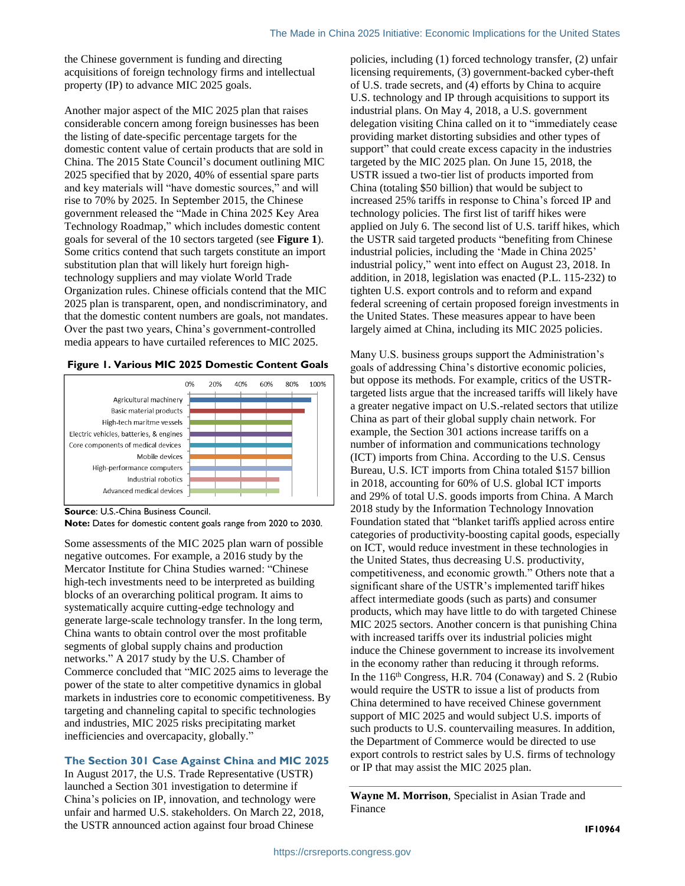the Chinese government is funding and directing acquisitions of foreign technology firms and intellectual property (IP) to advance MIC 2025 goals.

Another major aspect of the MIC 2025 plan that raises considerable concern among foreign businesses has been the listing of date-specific percentage targets for the domestic content value of certain products that are sold in China. The 2015 State Council's document outlining MIC 2025 specified that by 2020, 40% of essential spare parts and key materials will "have domestic sources," and will rise to 70% by 2025. In September 2015, the Chinese government released the "Made in China 2025 Key Area Technology Roadmap," which includes domestic content goals for several of the 10 sectors targeted (see **[Figure 1](#page-1-0)**). Some critics contend that such targets constitute an import substitution plan that will likely hurt foreign hightechnology suppliers and may violate World Trade Organization rules. Chinese officials contend that the MIC 2025 plan is transparent, open, and nondiscriminatory, and that the domestic content numbers are goals, not mandates. Over the past two years, China's government-controlled media appears to have curtailed references to MIC 2025.

#### <span id="page-1-0"></span>**Figure 1. Various MIC 2025 Domestic Content Goals**



**Source**: U.S.-China Business Council.

**Note:** Dates for domestic content goals range from 2020 to 2030.

Some assessments of the MIC 2025 plan warn of possible negative outcomes. For example, a 2016 study by the Mercator Institute for China Studies warned: "Chinese high-tech investments need to be interpreted as building blocks of an overarching political program. It aims to systematically acquire cutting-edge technology and generate large-scale technology transfer. In the long term, China wants to obtain control over the most profitable segments of global supply chains and production networks." A 2017 study by the U.S. Chamber of Commerce concluded that "MIC 2025 aims to leverage the power of the state to alter competitive dynamics in global markets in industries core to economic competitiveness. By targeting and channeling capital to specific technologies and industries, MIC 2025 risks precipitating market inefficiencies and overcapacity, globally."

#### **The Section 301 Case Against China and MIC 2025**

In August 2017, the U.S. Trade Representative (USTR) launched a Section 301 investigation to determine if China's policies on IP, innovation, and technology were unfair and harmed U.S. stakeholders. On March 22, 2018, the USTR announced action against four broad Chinese

policies, including (1) forced technology transfer, (2) unfair licensing requirements, (3) government-backed cyber-theft of U.S. trade secrets, and (4) efforts by China to acquire U.S. technology and IP through acquisitions to support its industrial plans. On May 4, 2018, a U.S. government delegation visiting China called on it to "immediately cease providing market distorting subsidies and other types of support" that could create excess capacity in the industries targeted by the MIC 2025 plan. On June 15, 2018, the USTR issued a two-tier list of products imported from China (totaling \$50 billion) that would be subject to increased 25% tariffs in response to China's forced IP and technology policies. The first list of tariff hikes were applied on July 6. The second list of U.S. tariff hikes, which the USTR said targeted products "benefiting from Chinese industrial policies, including the 'Made in China 2025' industrial policy," went into effect on August 23, 2018. In addition, in 2018, legislation was enacted (P.L. 115-232) to tighten U.S. export controls and to reform and expand federal screening of certain proposed foreign investments in the United States. These measures appear to have been largely aimed at China, including its MIC 2025 policies.

Many U.S. business groups support the Administration's goals of addressing China's distortive economic policies, but oppose its methods. For example, critics of the USTRtargeted lists argue that the increased tariffs will likely have a greater negative impact on U.S.-related sectors that utilize China as part of their global supply chain network. For example, the Section 301 actions increase tariffs on a number of information and communications technology (ICT) imports from China. According to the U.S. Census Bureau, U.S. ICT imports from China totaled \$157 billion in 2018, accounting for 60% of U.S. global ICT imports and 29% of total U.S. goods imports from China. A March 2018 study by the Information Technology Innovation Foundation stated that "blanket tariffs applied across entire categories of productivity-boosting capital goods, especially on ICT, would reduce investment in these technologies in the United States, thus decreasing U.S. productivity, competitiveness, and economic growth." Others note that a significant share of the USTR's implemented tariff hikes affect intermediate goods (such as parts) and consumer products, which may have little to do with targeted Chinese MIC 2025 sectors. Another concern is that punishing China with increased tariffs over its industrial policies might induce the Chinese government to increase its involvement in the economy rather than reducing it through reforms. In the 116<sup>th</sup> Congress, H.R. 704 (Conaway) and S. 2 (Rubio would require the USTR to issue a list of products from China determined to have received Chinese government support of MIC 2025 and would subject U.S. imports of such products to U.S. countervailing measures. In addition, the Department of Commerce would be directed to use export controls to restrict sales by U.S. firms of technology or IP that may assist the MIC 2025 plan.

**Wayne M. Morrison**, Specialist in Asian Trade and Finance